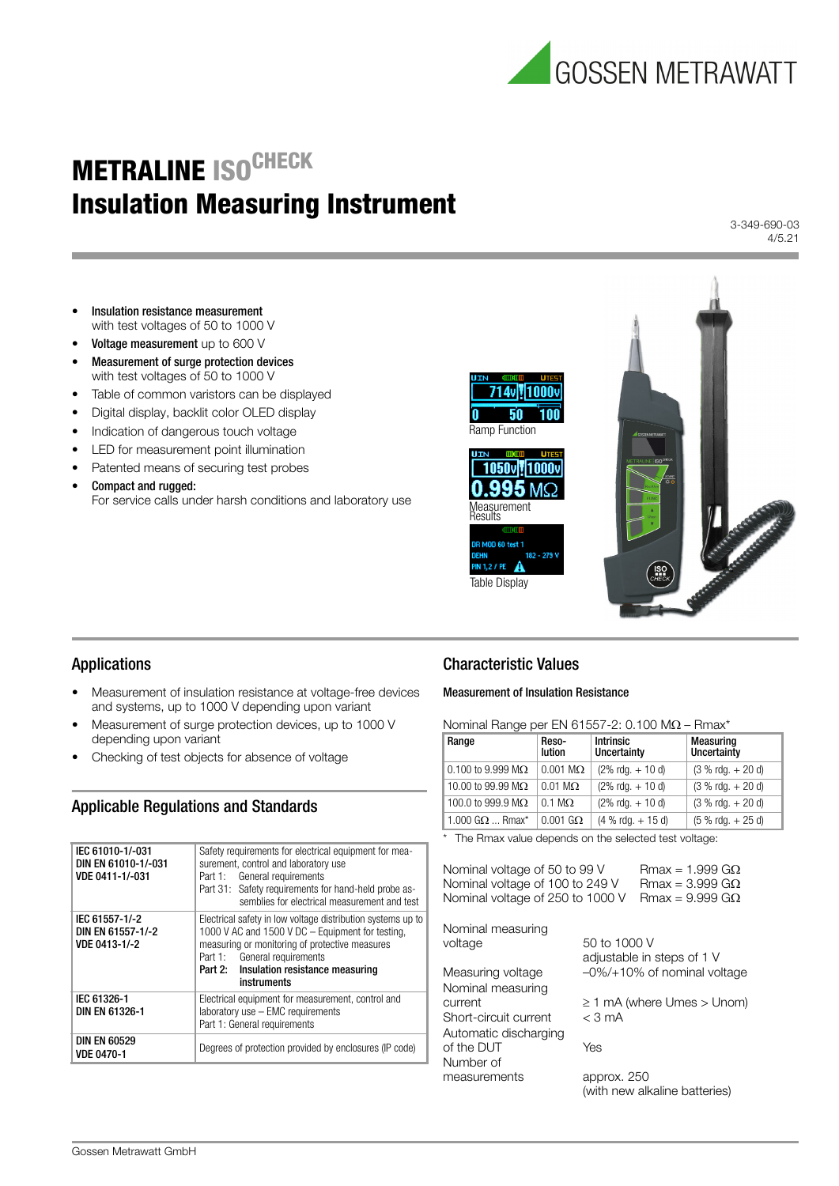

# **METRALINE ISO<sup>CHECK</sup>** Insulation Measuring Instrument

3-349-690-03 4/5.21

- Insulation resistance measurement with test voltages of 50 to 1000 V
- Voltage measurement up to 600 V
- Measurement of surge protection devices with test voltages of 50 to 1000 V
- Table of common varistors can be displayed
- Digital display, backlit color OLED display
- Indication of dangerous touch voltage
- LED for measurement point illumination
- Patented means of securing test probes
- Compact and rugged: For service calls under harsh conditions and laboratory use



## Applications

- Measurement of insulation resistance at voltage-free devices and systems, up to 1000 V depending upon variant
- Measurement of surge protection devices, up to 1000 V depending upon variant
- Checking of test objects for absence of voltage

## Applicable Regulations and Standards

| IEC 61010-1/-031<br>DIN EN 61010-1/-031<br>VDE 0411-1/-031 | Safety requirements for electrical equipment for mea-<br>surement, control and laboratory use<br>Part 1: General requirements<br>Part 31: Safety requirements for hand-held probe as-<br>semblies for electrical measurement and test                       |  |
|------------------------------------------------------------|-------------------------------------------------------------------------------------------------------------------------------------------------------------------------------------------------------------------------------------------------------------|--|
| IEC 61557-1/-2<br>DIN EN 61557-1/-2<br>VDE 0413-1/-2       | Electrical safety in low voltage distribution systems up to<br>1000 V AC and 1500 V DC - Equipment for testing,<br>measuring or monitoring of protective measures<br>Part 1: General requirements<br>Part 2: Insulation resistance measuring<br>instruments |  |
| IEC 61326-1<br>DIN EN 61326-1                              | Electrical equipment for measurement, control and<br>$laboratory use - EMC requirements$<br>Part 1: General requirements                                                                                                                                    |  |
| <b>DIN EN 60529</b><br><b>VDE 0470-1</b>                   | Degrees of protection provided by enclosures (IP code)                                                                                                                                                                                                      |  |

## Characteristic Values

n

#### Measurement of Insulation Resistance

Nominal Range per EN 61557-2:  $0.100 M\Omega$  – Rmax\*

| Range                              | Reso-<br><b>lution</b> | <b>Intrinsic</b><br>Uncertainty     | <b>Measuring</b><br>Uncertainty |
|------------------------------------|------------------------|-------------------------------------|---------------------------------|
| 0.100 to 9.999 M $\Omega$          | $0.001$ M $\Omega$     | $(2\% \text{ rdq.} + 10 \text{ d})$ | $(3 % r dq. + 20 d)$            |
| 10.00 to 99.99 M $\Omega$          | $0.01 \text{ M}\Omega$ | $(2\% \text{ rdq.} + 10 \text{ d})$ | $(3 % r dq. + 20 d)$            |
| 100.0 to 999.9 M $\Omega$          | $0.1 \text{ M}\Omega$  | $(2\% \text{ rdq.} + 10 \text{ d})$ | $(3 % r dq. + 20 d)$            |
| 1.000 G $\Omega$ Rmax <sup>*</sup> | $0.001$ G $\Omega$     | $(4 %$ rdg. $+ 15 d)$               | $(5 % r dq. + 25 d)$            |

| * The Rmax value depends on the selected test voltage: |  |
|--------------------------------------------------------|--|
|--------------------------------------------------------|--|

| Nominal voltage of 50 to 99 V<br>Nominal voltage of 100 to 249 V<br>Nominal voltage of 250 to 1000 V |              | $Rmax = 1.999$ GO<br>$Rmax = 3.999$ GO<br>$Rmax = 9.999$ GQ |
|------------------------------------------------------------------------------------------------------|--------------|-------------------------------------------------------------|
| Nominal measuring<br>voltage                                                                         | 50 to 1000 V | adjustable in steps of 1 V                                  |
| Measuring voltage                                                                                    |              | $-0\%/+10\%$ of nominal voltage                             |
| Nominal measuring                                                                                    |              |                                                             |
| current                                                                                              |              | $\geq 1$ mA (where Umes $>$ Unom)                           |
| Short-circuit current                                                                                | $<$ 3 mA     |                                                             |
| Automatic discharging                                                                                |              |                                                             |
| of the DUT                                                                                           | Yes          |                                                             |
| Number of                                                                                            |              |                                                             |
| measurements                                                                                         | approx. 250  |                                                             |
|                                                                                                      |              | (with new alkaline batteries)                               |